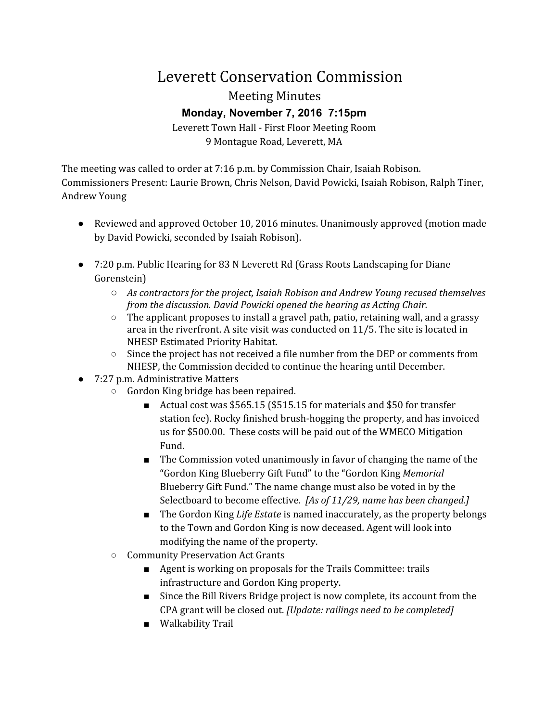## Leverett Conservation Commission

Meeting Minutes

## **Monday, November 7, 2016 7:15pm**

Leverett Town Hall - First Floor Meeting Room 9 Montague Road, Leverett, MA

The meeting was called to order at 7:16 p.m. by Commission Chair, Isaiah Robison. Commissioners Present: Laurie Brown, Chris Nelson, David Powicki, Isaiah Robison, Ralph Tiner, Andrew Young

- Reviewed and approved October 10, 2016 minutes. Unanimously approved (motion made by David Powicki, seconded by Isaiah Robison).
- 7:20 p.m. Public Hearing for 83 N Leverett Rd (Grass Roots Landscaping for Diane Gorenstein)
	- *○ As contractors for the project, Isaiah Robison and Andrew Young recused themselves from the discussion. David Powicki opened the hearing as Acting Chair.*
	- $\circ$  The applicant proposes to install a gravel path, patio, retaining wall, and a grassy area in the riverfront. A site visit was conducted on 11/5. The site is located in NHESP Estimated Priority Habitat.
	- $\circ$  Since the project has not received a file number from the DEP or comments from NHESP, the Commission decided to continue the hearing until December.
- 7:27 p.m. Administrative Matters
	- Gordon King bridge has been repaired.
		- Actual cost was \$565.15 (\$515.15 for materials and \$50 for transfer station fee). Rocky finished brush-hogging the property, and has invoiced us for \$500.00. These costs will be paid out of the WMECO Mitigation Fund.
		- The Commission voted unanimously in favor of changing the name of the "Gordon King Blueberry Gift Fund" to the "Gordon King *Memorial* Blueberry Gift Fund." The name change must also be voted in by the Selectboard to become effective. *[As of 11/29, name has been changed.]*
		- The Gordon King *Life Estate* is named inaccurately, as the property belongs to the Town and Gordon King is now deceased. Agent will look into modifying the name of the property.
	- Community Preservation Act Grants
		- Agent is working on proposals for the Trails Committee: trails infrastructure and Gordon King property.
		- Since the Bill Rivers Bridge project is now complete, its account from the CPA grant will be closed out. *[Update: railings need to be completed]*
		- Walkability Trail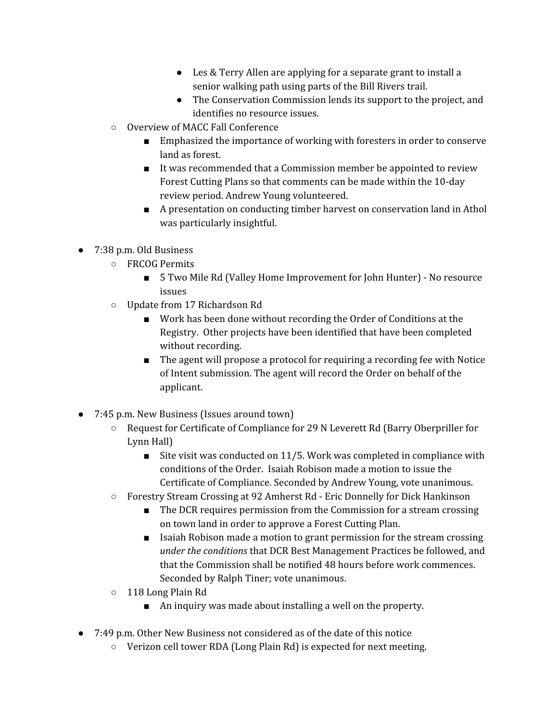- Les & Terry Allen are applying for a separate grant to install a senior walking path using parts of the Bill Rivers trail.
- The Conservation Commission lends its support to the project, and identifies no resource issues.
- Overview of MACC Fall Conference
	- Emphasized the importance of working with foresters in order to conserve land as forest.
	- It was recommended that a Commission member be appointed to review Forest Cutting Plans so that comments can be made within the 10-day review period. Andrew Young volunteered.
	- A presentation on conducting timber harvest on conservation land in Athol was particularly insightful.
- 7:38 p.m. Old Business
	- FRCOG Permits
		- 5 Two Mile Rd (Valley Home Improvement for John Hunter) No resource issues
	- Update from 17 Richardson Rd
		- Work has been done without recording the Order of Conditions at the Registry. Other projects have been identified that have been completed without recording.
		- The agent will propose a protocol for requiring a recording fee with Notice of Intent submission. The agent will record the Order on behalf of the applicant.
- 7:45 p.m. New Business (Issues around town)
	- Request for Certificate of Compliance for 29 N Leverett Rd (Barry Oberpriller for Lynn Hall)
		- **EXECUTE:** Site visit was conducted on  $11/5$ . Work was completed in compliance with conditions of the Order. Isaiah Robison made a motion to issue the Certificate of Compliance. Seconded by Andrew Young, vote unanimous.
	- Forestry Stream Crossing at 92 Amherst Rd Eric Donnelly for Dick Hankinson
		- The DCR requires permission from the Commission for a stream crossing on town land in order to approve a Forest Cutting Plan.
		- Isaiah Robison made a motion to grant permission for the stream crossing *under the conditions* that DCR Best Management Practices be followed, and that the Commission shall be notified 48 hours before work commences. Seconded by Ralph Tiner; vote unanimous.
	- 118 Long Plain Rd
		- An inquiry was made about installing a well on the property.
- 7:49 p.m. Other New Business not considered as of the date of this notice
	- Verizon cell tower RDA (Long Plain Rd) is expected for next meeting.